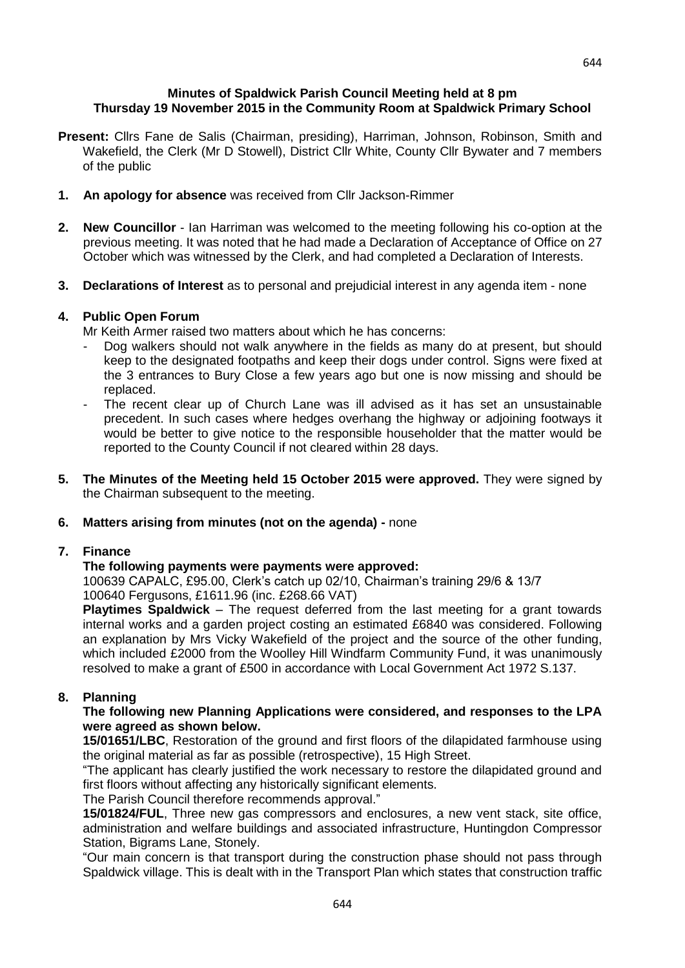#### **Minutes of Spaldwick Parish Council Meeting held at 8 pm Thursday 19 November 2015 in the Community Room at Spaldwick Primary School**

- **Present:** Cllrs Fane de Salis (Chairman, presiding), Harriman, Johnson, Robinson, Smith and Wakefield, the Clerk (Mr D Stowell), District Cllr White, County Cllr Bywater and 7 members of the public
- **1. An apology for absence** was received from Cllr Jackson-Rimmer
- **2. New Councillor**  Ian Harriman was welcomed to the meeting following his co-option at the previous meeting. It was noted that he had made a Declaration of Acceptance of Office on 27 October which was witnessed by the Clerk, and had completed a Declaration of Interests.
- **3. Declarations of Interest** as to personal and prejudicial interest in any agenda item none

## **4. Public Open Forum**

Mr Keith Armer raised two matters about which he has concerns:

- Dog walkers should not walk anywhere in the fields as many do at present, but should keep to the designated footpaths and keep their dogs under control. Signs were fixed at the 3 entrances to Bury Close a few years ago but one is now missing and should be replaced.
- The recent clear up of Church Lane was ill advised as it has set an unsustainable precedent. In such cases where hedges overhang the highway or adjoining footways it would be better to give notice to the responsible householder that the matter would be reported to the County Council if not cleared within 28 days.
- **5. The Minutes of the Meeting held 15 October 2015 were approved.** They were signed by the Chairman subsequent to the meeting.

## **6. Matters arising from minutes (not on the agenda) -** none

## **7. Finance**

## **The following payments were payments were approved:**

100639 CAPALC, £95.00, Clerk's catch up 02/10, Chairman's training 29/6 & 13/7 100640 Fergusons, £1611.96 (inc. £268.66 VAT)

**Playtimes Spaldwick** – The request deferred from the last meeting for a grant towards internal works and a garden project costing an estimated £6840 was considered. Following an explanation by Mrs Vicky Wakefield of the project and the source of the other funding, which included £2000 from the Woolley Hill Windfarm Community Fund, it was unanimously resolved to make a grant of £500 in accordance with Local Government Act 1972 S.137.

## **8. Planning**

#### **The following new Planning Applications were considered, and responses to the LPA were agreed as shown below.**

**15/01651/LBC**, Restoration of the ground and first floors of the dilapidated farmhouse using the original material as far as possible (retrospective), 15 High Street.

"The applicant has clearly justified the work necessary to restore the dilapidated ground and first floors without affecting any historically significant elements.

The Parish Council therefore recommends approval."

**15/01824/FUL**, Three new gas compressors and enclosures, a new vent stack, site office, administration and welfare buildings and associated infrastructure, Huntingdon Compressor Station, Bigrams Lane, Stonely.

"Our main concern is that transport during the construction phase should not pass through Spaldwick village. This is dealt with in the Transport Plan which states that construction traffic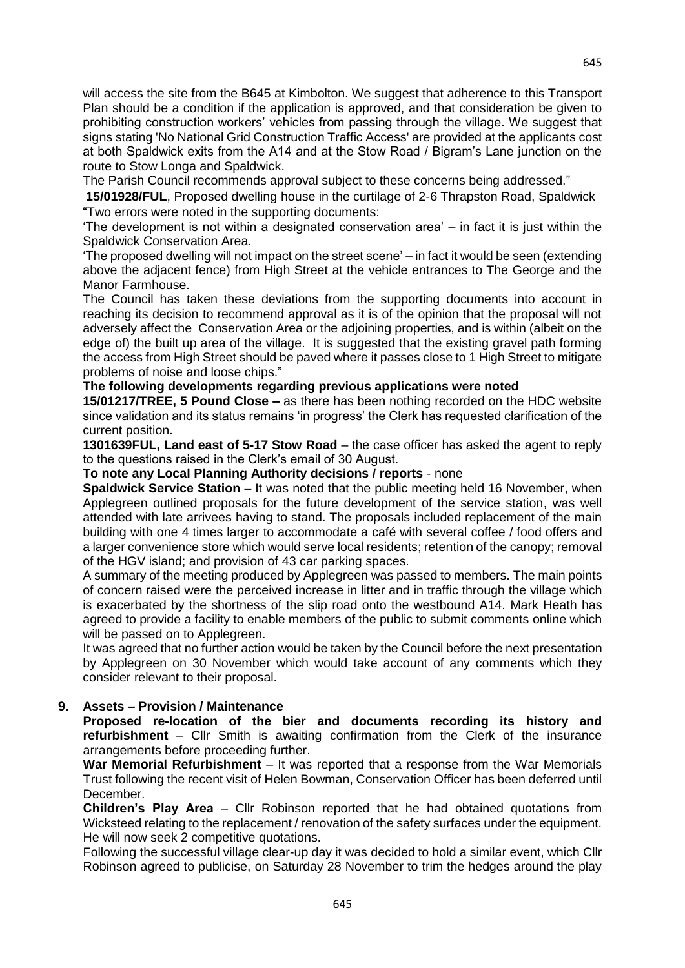will access the site from the B645 at Kimbolton. We suggest that adherence to this Transport Plan should be a condition if the application is approved, and that consideration be given to prohibiting construction workers' vehicles from passing through the village. We suggest that signs stating 'No National Grid Construction Traffic Access' are provided at the applicants cost at both Spaldwick exits from the A14 and at the Stow Road / Bigram's Lane junction on the route to Stow Longa and Spaldwick.

The Parish Council recommends approval subject to these concerns being addressed."

**15/01928/FUL**, Proposed dwelling house in the curtilage of 2-6 Thrapston Road, Spaldwick "Two errors were noted in the supporting documents:

'The development is not within a designated conservation area' – in fact it is just within the Spaldwick Conservation Area.

'The proposed dwelling will not impact on the street scene' – in fact it would be seen (extending above the adjacent fence) from High Street at the vehicle entrances to The George and the Manor Farmhouse.

The Council has taken these deviations from the supporting documents into account in reaching its decision to recommend approval as it is of the opinion that the proposal will not adversely affect the Conservation Area or the adjoining properties, and is within (albeit on the edge of) the built up area of the village. It is suggested that the existing gravel path forming the access from High Street should be paved where it passes close to 1 High Street to mitigate problems of noise and loose chips."

## **The following developments regarding previous applications were noted**

**15/01217/TREE, 5 Pound Close –** as there has been nothing recorded on the HDC website since validation and its status remains 'in progress' the Clerk has requested clarification of the current position.

**1301639FUL, Land east of 5-17 Stow Road** – the case officer has asked the agent to reply to the questions raised in the Clerk's email of 30 August.

**To note any Local Planning Authority decisions / reports** - none

**Spaldwick Service Station –** It was noted that the public meeting held 16 November, when Applegreen outlined proposals for the future development of the service station, was well attended with late arrivees having to stand. The proposals included replacement of the main building with one 4 times larger to accommodate a café with several coffee / food offers and a larger convenience store which would serve local residents; retention of the canopy; removal of the HGV island; and provision of 43 car parking spaces.

A summary of the meeting produced by Applegreen was passed to members. The main points of concern raised were the perceived increase in litter and in traffic through the village which is exacerbated by the shortness of the slip road onto the westbound A14. Mark Heath has agreed to provide a facility to enable members of the public to submit comments online which will be passed on to Applegreen.

It was agreed that no further action would be taken by the Council before the next presentation by Applegreen on 30 November which would take account of any comments which they consider relevant to their proposal.

## **9. Assets – Provision / Maintenance**

**Proposed re-location of the bier and documents recording its history and refurbishment** – Cllr Smith is awaiting confirmation from the Clerk of the insurance arrangements before proceeding further.

**War Memorial Refurbishment** – It was reported that a response from the War Memorials Trust following the recent visit of Helen Bowman, Conservation Officer has been deferred until December.

**Children's Play Area** – Cllr Robinson reported that he had obtained quotations from Wicksteed relating to the replacement / renovation of the safety surfaces under the equipment. He will now seek 2 competitive quotations.

Following the successful village clear-up day it was decided to hold a similar event, which Cllr Robinson agreed to publicise, on Saturday 28 November to trim the hedges around the play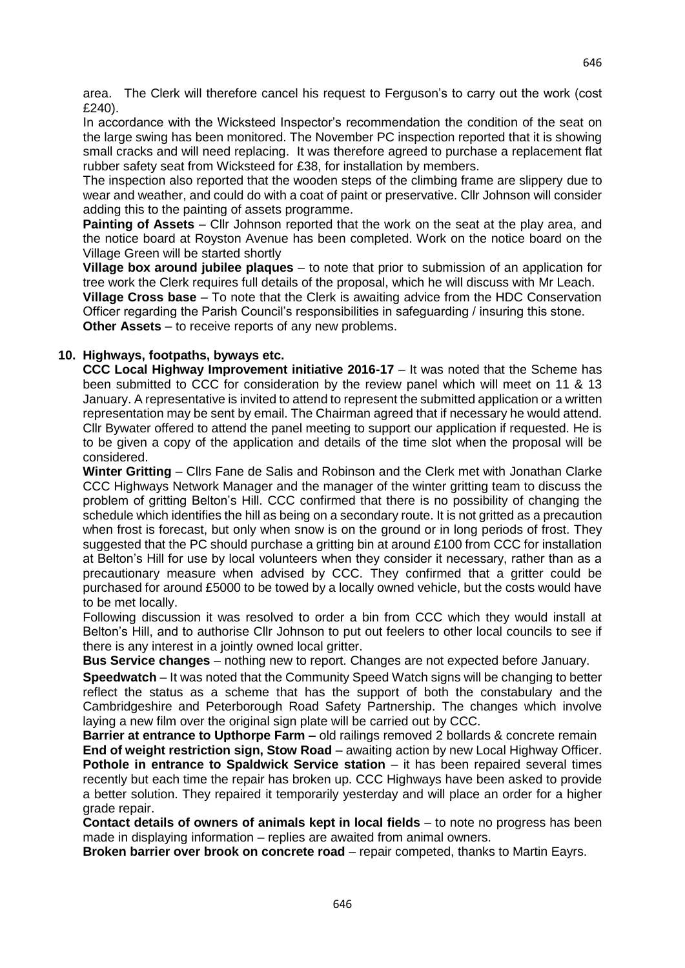area. The Clerk will therefore cancel his request to Ferguson's to carry out the work (cost £240).

In accordance with the Wicksteed Inspector's recommendation the condition of the seat on the large swing has been monitored. The November PC inspection reported that it is showing small cracks and will need replacing. It was therefore agreed to purchase a replacement flat rubber safety seat from Wicksteed for £38, for installation by members.

The inspection also reported that the wooden steps of the climbing frame are slippery due to wear and weather, and could do with a coat of paint or preservative. Cllr Johnson will consider adding this to the painting of assets programme.

**Painting of Assets** – Cllr Johnson reported that the work on the seat at the play area, and the notice board at Royston Avenue has been completed. Work on the notice board on the Village Green will be started shortly

**Village box around jubilee plaques** – to note that prior to submission of an application for tree work the Clerk requires full details of the proposal, which he will discuss with Mr Leach. **Village Cross base** – To note that the Clerk is awaiting advice from the HDC Conservation Officer regarding the Parish Council's responsibilities in safeguarding / insuring this stone.

**Other Assets** – to receive reports of any new problems.

# **10. Highways, footpaths, byways etc.**

**CCC Local Highway Improvement initiative 2016-17** – It was noted that the Scheme has been submitted to CCC for consideration by the review panel which will meet on 11 & 13 January. A representative is invited to attend to represent the submitted application or a written representation may be sent by email. The Chairman agreed that if necessary he would attend. Cllr Bywater offered to attend the panel meeting to support our application if requested. He is to be given a copy of the application and details of the time slot when the proposal will be considered.

**Winter Gritting** – Cllrs Fane de Salis and Robinson and the Clerk met with Jonathan Clarke CCC Highways Network Manager and the manager of the winter gritting team to discuss the problem of gritting Belton's Hill. CCC confirmed that there is no possibility of changing the schedule which identifies the hill as being on a secondary route. It is not gritted as a precaution when frost is forecast, but only when snow is on the ground or in long periods of frost. They suggested that the PC should purchase a gritting bin at around £100 from CCC for installation at Belton's Hill for use by local volunteers when they consider it necessary, rather than as a precautionary measure when advised by CCC. They confirmed that a gritter could be purchased for around £5000 to be towed by a locally owned vehicle, but the costs would have to be met locally.

Following discussion it was resolved to order a bin from CCC which they would install at Belton's Hill, and to authorise Cllr Johnson to put out feelers to other local councils to see if there is any interest in a jointly owned local gritter.

**Bus Service changes** – nothing new to report. Changes are not expected before January.

**Speedwatch** – It was noted that the Community Speed Watch signs will be changing to better reflect the status as a scheme that has the support of both the constabulary and the Cambridgeshire and Peterborough Road Safety Partnership. The changes which involve laying a new film over the original sign plate will be carried out by CCC.

**Barrier at entrance to Upthorpe Farm –** old railings removed 2 bollards & concrete remain **End of weight restriction sign, Stow Road** – awaiting action by new Local Highway Officer. **Pothole in entrance to Spaldwick Service station – it has been repaired several times** recently but each time the repair has broken up. CCC Highways have been asked to provide a better solution. They repaired it temporarily yesterday and will place an order for a higher grade repair.

**Contact details of owners of animals kept in local fields** – to note no progress has been made in displaying information – replies are awaited from animal owners.

**Broken barrier over brook on concrete road** – repair competed, thanks to Martin Eavrs.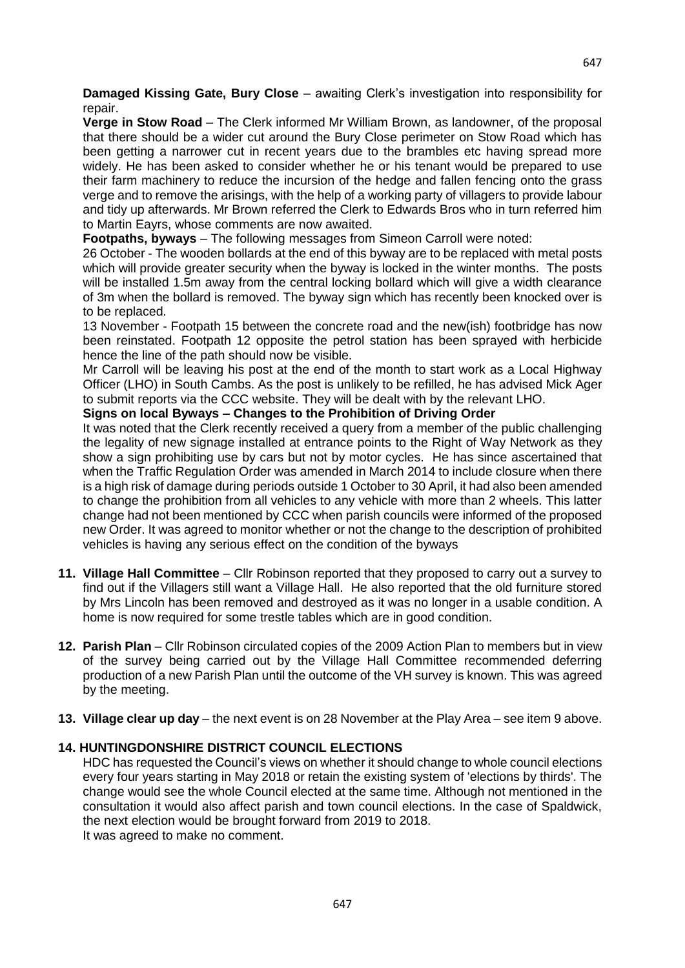**Damaged Kissing Gate, Bury Close** – awaiting Clerk's investigation into responsibility for repair.

**Verge in Stow Road** – The Clerk informed Mr William Brown, as landowner, of the proposal that there should be a wider cut around the Bury Close perimeter on Stow Road which has been getting a narrower cut in recent years due to the brambles etc having spread more widely. He has been asked to consider whether he or his tenant would be prepared to use their farm machinery to reduce the incursion of the hedge and fallen fencing onto the grass verge and to remove the arisings, with the help of a working party of villagers to provide labour and tidy up afterwards. Mr Brown referred the Clerk to Edwards Bros who in turn referred him to Martin Eayrs, whose comments are now awaited.

**Footpaths, byways** – The following messages from Simeon Carroll were noted:

26 October - The wooden bollards at the end of this byway are to be replaced with metal posts which will provide greater security when the byway is locked in the winter months. The posts will be installed 1.5m away from the central locking bollard which will give a width clearance of 3m when the bollard is removed. The byway sign which has recently been knocked over is to be replaced.

13 November - Footpath 15 between the concrete road and the new(ish) footbridge has now been reinstated. Footpath 12 opposite the petrol station has been sprayed with herbicide hence the line of the path should now be visible.

Mr Carroll will be leaving his post at the end of the month to start work as a Local Highway Officer (LHO) in South Cambs. As the post is unlikely to be refilled, he has advised Mick Ager to submit reports via the CCC website. They will be dealt with by the relevant LHO.

## **Signs on local Byways – Changes to the Prohibition of Driving Order**

It was noted that the Clerk recently received a query from a member of the public challenging the legality of new signage installed at entrance points to the Right of Way Network as they show a sign prohibiting use by cars but not by motor cycles. He has since ascertained that when the Traffic Regulation Order was amended in March 2014 to include closure when there is a high risk of damage during periods outside 1 October to 30 April, it had also been amended to change the prohibition from all vehicles to any vehicle with more than 2 wheels. This latter change had not been mentioned by CCC when parish councils were informed of the proposed new Order. It was agreed to monitor whether or not the change to the description of prohibited vehicles is having any serious effect on the condition of the byways

- **11. Village Hall Committee**  Cllr Robinson reported that they proposed to carry out a survey to find out if the Villagers still want a Village Hall. He also reported that the old furniture stored by Mrs Lincoln has been removed and destroyed as it was no longer in a usable condition. A home is now required for some trestle tables which are in good condition.
- **12. Parish Plan**  Cllr Robinson circulated copies of the 2009 Action Plan to members but in view of the survey being carried out by the Village Hall Committee recommended deferring production of a new Parish Plan until the outcome of the VH survey is known. This was agreed by the meeting.
- **13. Village clear up day**  the next event is on 28 November at the Play Area see item 9 above.

## **14. HUNTINGDONSHIRE DISTRICT COUNCIL ELECTIONS**

HDC has requested the Council's views on whether it should change to whole council elections every four years starting in May 2018 or retain the existing system of 'elections by thirds'. The change would see the whole Council elected at the same time. Although not mentioned in the consultation it would also affect parish and town council elections. In the case of Spaldwick, the next election would be brought forward from 2019 to 2018. It was agreed to make no comment.